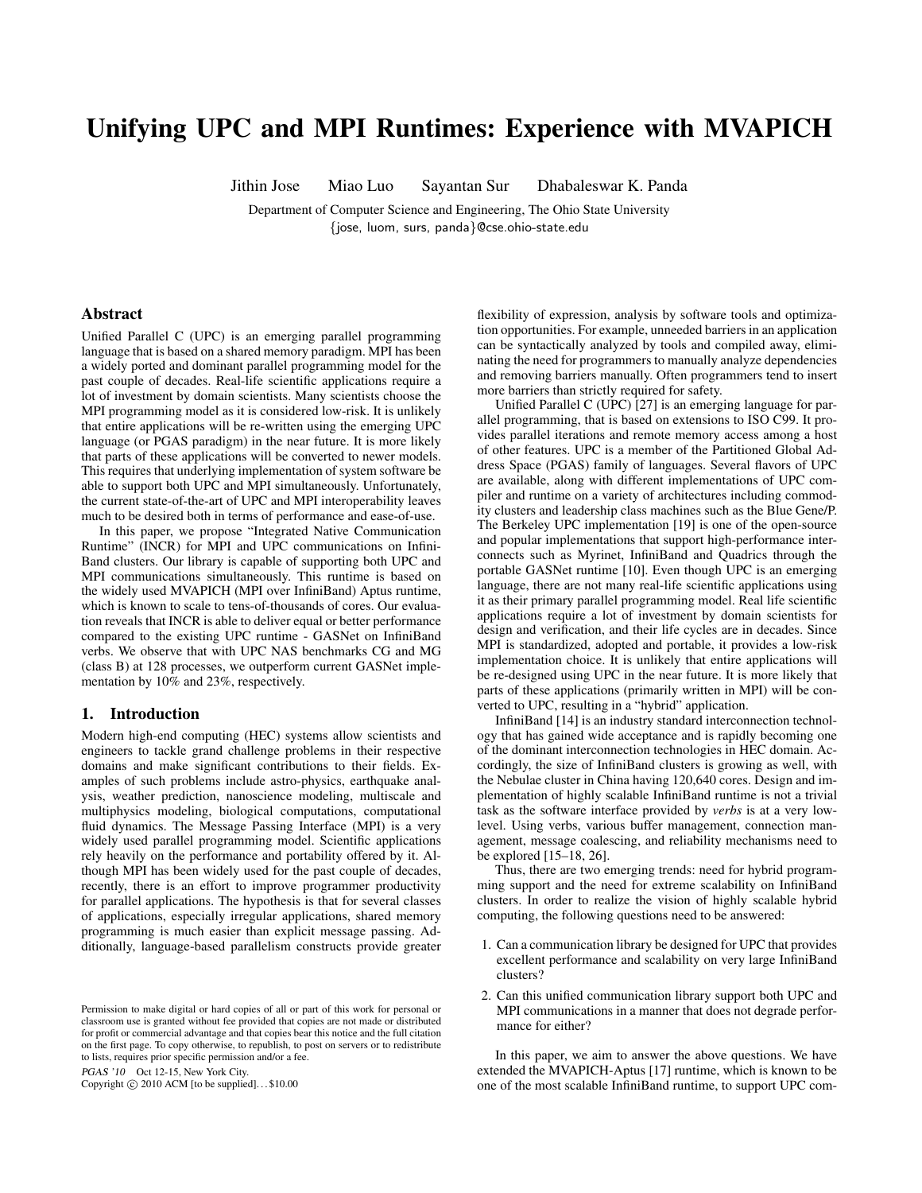# Unifying UPC and MPI Runtimes: Experience with MVAPICH

Jithin Jose Miao Luo Sayantan Sur Dhabaleswar K. Panda

Department of Computer Science and Engineering, The Ohio State University {jose, luom, surs, panda}@cse.ohio-state.edu

# Abstract

Unified Parallel C (UPC) is an emerging parallel programming language that is based on a shared memory paradigm. MPI has been a widely ported and dominant parallel programming model for the past couple of decades. Real-life scientific applications require a lot of investment by domain scientists. Many scientists choose the MPI programming model as it is considered low-risk. It is unlikely that entire applications will be re-written using the emerging UPC language (or PGAS paradigm) in the near future. It is more likely that parts of these applications will be converted to newer models. This requires that underlying implementation of system software be able to support both UPC and MPI simultaneously. Unfortunately, the current state-of-the-art of UPC and MPI interoperability leaves much to be desired both in terms of performance and ease-of-use.

In this paper, we propose "Integrated Native Communication Runtime" (INCR) for MPI and UPC communications on Infini-Band clusters. Our library is capable of supporting both UPC and MPI communications simultaneously. This runtime is based on the widely used MVAPICH (MPI over InfiniBand) Aptus runtime, which is known to scale to tens-of-thousands of cores. Our evaluation reveals that INCR is able to deliver equal or better performance compared to the existing UPC runtime - GASNet on InfiniBand verbs. We observe that with UPC NAS benchmarks CG and MG (class B) at 128 processes, we outperform current GASNet implementation by 10% and 23%, respectively.

## 1. Introduction

Modern high-end computing (HEC) systems allow scientists and engineers to tackle grand challenge problems in their respective domains and make significant contributions to their fields. Examples of such problems include astro-physics, earthquake analysis, weather prediction, nanoscience modeling, multiscale and multiphysics modeling, biological computations, computational fluid dynamics. The Message Passing Interface (MPI) is a very widely used parallel programming model. Scientific applications rely heavily on the performance and portability offered by it. Although MPI has been widely used for the past couple of decades, recently, there is an effort to improve programmer productivity for parallel applications. The hypothesis is that for several classes of applications, especially irregular applications, shared memory programming is much easier than explicit message passing. Additionally, language-based parallelism constructs provide greater

PGAS '10 Oct 12-15, New York City.

Copyright  $\odot$  2010 ACM [to be supplied]...\$10.00

flexibility of expression, analysis by software tools and optimization opportunities. For example, unneeded barriers in an application can be syntactically analyzed by tools and compiled away, eliminating the need for programmers to manually analyze dependencies and removing barriers manually. Often programmers tend to insert more barriers than strictly required for safety.

Unified Parallel C (UPC) [27] is an emerging language for parallel programming, that is based on extensions to ISO C99. It provides parallel iterations and remote memory access among a host of other features. UPC is a member of the Partitioned Global Address Space (PGAS) family of languages. Several flavors of UPC are available, along with different implementations of UPC compiler and runtime on a variety of architectures including commodity clusters and leadership class machines such as the Blue Gene/P. The Berkeley UPC implementation [19] is one of the open-source and popular implementations that support high-performance interconnects such as Myrinet, InfiniBand and Quadrics through the portable GASNet runtime [10]. Even though UPC is an emerging language, there are not many real-life scientific applications using it as their primary parallel programming model. Real life scientific applications require a lot of investment by domain scientists for design and verification, and their life cycles are in decades. Since MPI is standardized, adopted and portable, it provides a low-risk implementation choice. It is unlikely that entire applications will be re-designed using UPC in the near future. It is more likely that parts of these applications (primarily written in MPI) will be converted to UPC, resulting in a "hybrid" application.

InfiniBand [14] is an industry standard interconnection technology that has gained wide acceptance and is rapidly becoming one of the dominant interconnection technologies in HEC domain. Accordingly, the size of InfiniBand clusters is growing as well, with the Nebulae cluster in China having 120,640 cores. Design and implementation of highly scalable InfiniBand runtime is not a trivial task as the software interface provided by *verbs* is at a very lowlevel. Using verbs, various buffer management, connection management, message coalescing, and reliability mechanisms need to be explored [15–18, 26].

Thus, there are two emerging trends: need for hybrid programming support and the need for extreme scalability on InfiniBand clusters. In order to realize the vision of highly scalable hybrid computing, the following questions need to be answered:

- 1. Can a communication library be designed for UPC that provides excellent performance and scalability on very large InfiniBand clusters?
- 2. Can this unified communication library support both UPC and MPI communications in a manner that does not degrade performance for either?

In this paper, we aim to answer the above questions. We have extended the MVAPICH-Aptus [17] runtime, which is known to be one of the most scalable InfiniBand runtime, to support UPC com-

Permission to make digital or hard copies of all or part of this work for personal or classroom use is granted without fee provided that copies are not made or distributed for profit or commercial advantage and that copies bear this notice and the full citation on the first page. To copy otherwise, to republish, to post on servers or to redistribute to lists, requires prior specific permission and/or a fee.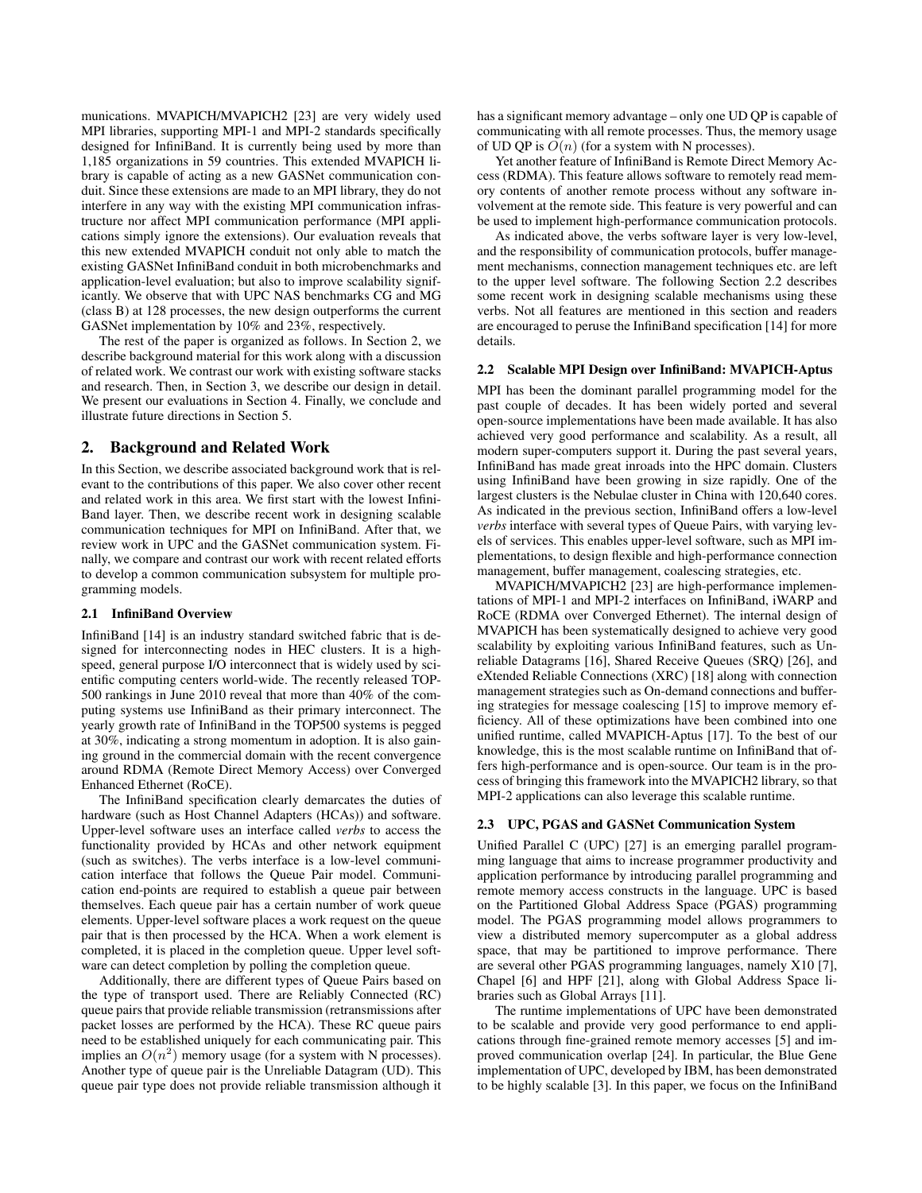munications. MVAPICH/MVAPICH2 [23] are very widely used MPI libraries, supporting MPI-1 and MPI-2 standards specifically designed for InfiniBand. It is currently being used by more than 1,185 organizations in 59 countries. This extended MVAPICH library is capable of acting as a new GASNet communication conduit. Since these extensions are made to an MPI library, they do not interfere in any way with the existing MPI communication infrastructure nor affect MPI communication performance (MPI applications simply ignore the extensions). Our evaluation reveals that this new extended MVAPICH conduit not only able to match the existing GASNet InfiniBand conduit in both microbenchmarks and application-level evaluation; but also to improve scalability significantly. We observe that with UPC NAS benchmarks CG and MG (class B) at 128 processes, the new design outperforms the current GASNet implementation by 10% and 23%, respectively.

The rest of the paper is organized as follows. In Section 2, we describe background material for this work along with a discussion of related work. We contrast our work with existing software stacks and research. Then, in Section 3, we describe our design in detail. We present our evaluations in Section 4. Finally, we conclude and illustrate future directions in Section 5.

## 2. Background and Related Work

In this Section, we describe associated background work that is relevant to the contributions of this paper. We also cover other recent and related work in this area. We first start with the lowest Infini-Band layer. Then, we describe recent work in designing scalable communication techniques for MPI on InfiniBand. After that, we review work in UPC and the GASNet communication system. Finally, we compare and contrast our work with recent related efforts to develop a common communication subsystem for multiple programming models.

## 2.1 InfiniBand Overview

InfiniBand [14] is an industry standard switched fabric that is designed for interconnecting nodes in HEC clusters. It is a highspeed, general purpose I/O interconnect that is widely used by scientific computing centers world-wide. The recently released TOP-500 rankings in June 2010 reveal that more than 40% of the computing systems use InfiniBand as their primary interconnect. The yearly growth rate of InfiniBand in the TOP500 systems is pegged at 30%, indicating a strong momentum in adoption. It is also gaining ground in the commercial domain with the recent convergence around RDMA (Remote Direct Memory Access) over Converged Enhanced Ethernet (RoCE).

The InfiniBand specification clearly demarcates the duties of hardware (such as Host Channel Adapters (HCAs)) and software. Upper-level software uses an interface called *verbs* to access the functionality provided by HCAs and other network equipment (such as switches). The verbs interface is a low-level communication interface that follows the Queue Pair model. Communication end-points are required to establish a queue pair between themselves. Each queue pair has a certain number of work queue elements. Upper-level software places a work request on the queue pair that is then processed by the HCA. When a work element is completed, it is placed in the completion queue. Upper level software can detect completion by polling the completion queue.

Additionally, there are different types of Queue Pairs based on the type of transport used. There are Reliably Connected (RC) queue pairs that provide reliable transmission (retransmissions after packet losses are performed by the HCA). These RC queue pairs need to be established uniquely for each communicating pair. This implies an  $O(n^2)$  memory usage (for a system with N processes). Another type of queue pair is the Unreliable Datagram (UD). This queue pair type does not provide reliable transmission although it has a significant memory advantage – only one UD QP is capable of communicating with all remote processes. Thus, the memory usage of UD QP is  $O(n)$  (for a system with N processes).

Yet another feature of InfiniBand is Remote Direct Memory Access (RDMA). This feature allows software to remotely read memory contents of another remote process without any software involvement at the remote side. This feature is very powerful and can be used to implement high-performance communication protocols.

As indicated above, the verbs software layer is very low-level, and the responsibility of communication protocols, buffer management mechanisms, connection management techniques etc. are left to the upper level software. The following Section 2.2 describes some recent work in designing scalable mechanisms using these verbs. Not all features are mentioned in this section and readers are encouraged to peruse the InfiniBand specification [14] for more details.

#### 2.2 Scalable MPI Design over InfiniBand: MVAPICH-Aptus

MPI has been the dominant parallel programming model for the past couple of decades. It has been widely ported and several open-source implementations have been made available. It has also achieved very good performance and scalability. As a result, all modern super-computers support it. During the past several years, InfiniBand has made great inroads into the HPC domain. Clusters using InfiniBand have been growing in size rapidly. One of the largest clusters is the Nebulae cluster in China with 120,640 cores. As indicated in the previous section, InfiniBand offers a low-level *verbs* interface with several types of Queue Pairs, with varying levels of services. This enables upper-level software, such as MPI implementations, to design flexible and high-performance connection management, buffer management, coalescing strategies, etc.

MVAPICH/MVAPICH2 [23] are high-performance implementations of MPI-1 and MPI-2 interfaces on InfiniBand, iWARP and RoCE (RDMA over Converged Ethernet). The internal design of MVAPICH has been systematically designed to achieve very good scalability by exploiting various InfiniBand features, such as Unreliable Datagrams [16], Shared Receive Queues (SRQ) [26], and eXtended Reliable Connections (XRC) [18] along with connection management strategies such as On-demand connections and buffering strategies for message coalescing [15] to improve memory efficiency. All of these optimizations have been combined into one unified runtime, called MVAPICH-Aptus [17]. To the best of our knowledge, this is the most scalable runtime on InfiniBand that offers high-performance and is open-source. Our team is in the process of bringing this framework into the MVAPICH2 library, so that MPI-2 applications can also leverage this scalable runtime.

#### 2.3 UPC, PGAS and GASNet Communication System

Unified Parallel C (UPC) [27] is an emerging parallel programming language that aims to increase programmer productivity and application performance by introducing parallel programming and remote memory access constructs in the language. UPC is based on the Partitioned Global Address Space (PGAS) programming model. The PGAS programming model allows programmers to view a distributed memory supercomputer as a global address space, that may be partitioned to improve performance. There are several other PGAS programming languages, namely X10 [7], Chapel [6] and HPF [21], along with Global Address Space libraries such as Global Arrays [11].

The runtime implementations of UPC have been demonstrated to be scalable and provide very good performance to end applications through fine-grained remote memory accesses [5] and improved communication overlap [24]. In particular, the Blue Gene implementation of UPC, developed by IBM, has been demonstrated to be highly scalable [3]. In this paper, we focus on the InfiniBand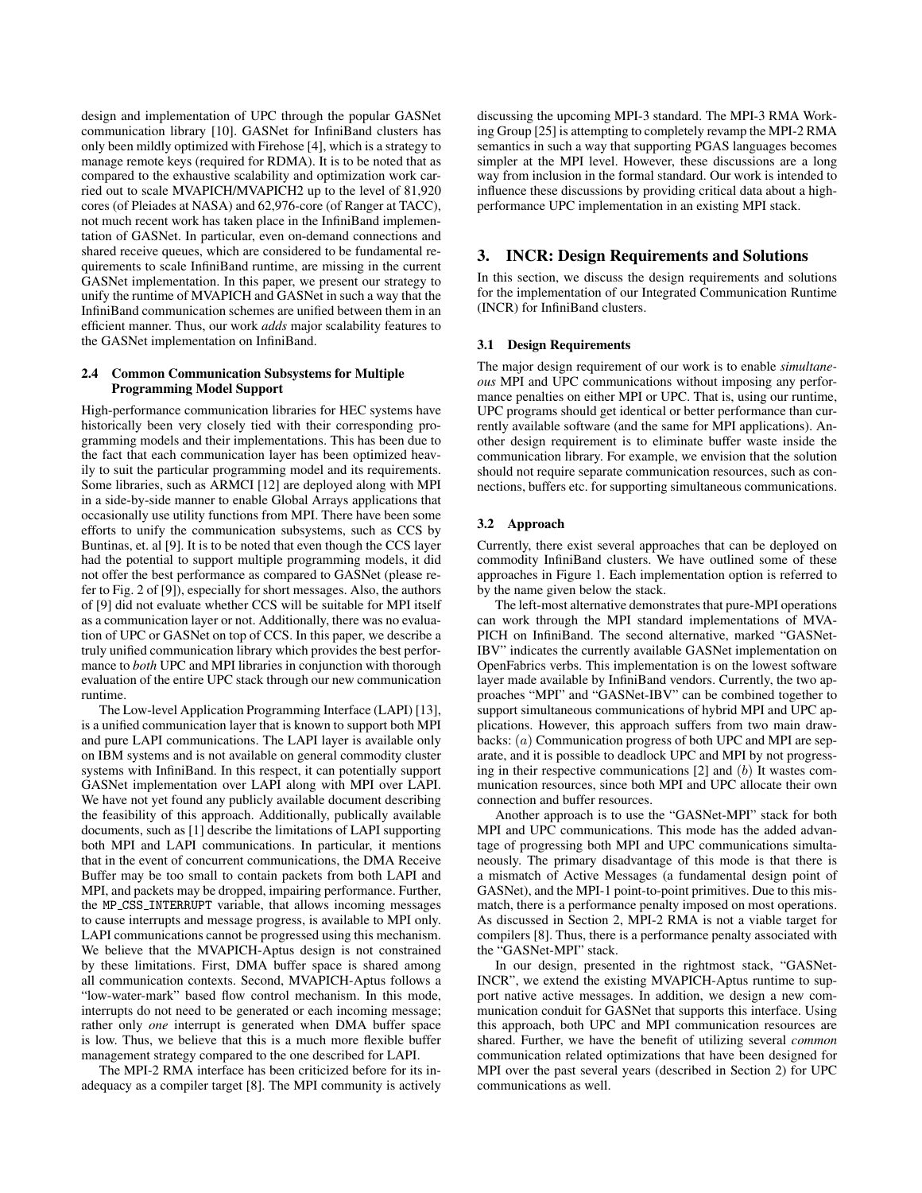design and implementation of UPC through the popular GASNet communication library [10]. GASNet for InfiniBand clusters has only been mildly optimized with Firehose [4], which is a strategy to manage remote keys (required for RDMA). It is to be noted that as compared to the exhaustive scalability and optimization work carried out to scale MVAPICH/MVAPICH2 up to the level of 81,920 cores (of Pleiades at NASA) and 62,976-core (of Ranger at TACC), not much recent work has taken place in the InfiniBand implementation of GASNet. In particular, even on-demand connections and shared receive queues, which are considered to be fundamental requirements to scale InfiniBand runtime, are missing in the current GASNet implementation. In this paper, we present our strategy to unify the runtime of MVAPICH and GASNet in such a way that the InfiniBand communication schemes are unified between them in an efficient manner. Thus, our work *adds* major scalability features to the GASNet implementation on InfiniBand.

#### 2.4 Common Communication Subsystems for Multiple Programming Model Support

High-performance communication libraries for HEC systems have historically been very closely tied with their corresponding programming models and their implementations. This has been due to the fact that each communication layer has been optimized heavily to suit the particular programming model and its requirements. Some libraries, such as ARMCI [12] are deployed along with MPI in a side-by-side manner to enable Global Arrays applications that occasionally use utility functions from MPI. There have been some efforts to unify the communication subsystems, such as CCS by Buntinas, et. al [9]. It is to be noted that even though the CCS layer had the potential to support multiple programming models, it did not offer the best performance as compared to GASNet (please refer to Fig. 2 of [9]), especially for short messages. Also, the authors of [9] did not evaluate whether CCS will be suitable for MPI itself as a communication layer or not. Additionally, there was no evaluation of UPC or GASNet on top of CCS. In this paper, we describe a truly unified communication library which provides the best performance to *both* UPC and MPI libraries in conjunction with thorough evaluation of the entire UPC stack through our new communication runtime.

The Low-level Application Programming Interface (LAPI) [13], is a unified communication layer that is known to support both MPI and pure LAPI communications. The LAPI layer is available only on IBM systems and is not available on general commodity cluster systems with InfiniBand. In this respect, it can potentially support GASNet implementation over LAPI along with MPI over LAPI. We have not yet found any publicly available document describing the feasibility of this approach. Additionally, publically available documents, such as [1] describe the limitations of LAPI supporting both MPI and LAPI communications. In particular, it mentions that in the event of concurrent communications, the DMA Receive Buffer may be too small to contain packets from both LAPI and MPI, and packets may be dropped, impairing performance. Further, the MP CSS INTERRUPT variable, that allows incoming messages to cause interrupts and message progress, is available to MPI only. LAPI communications cannot be progressed using this mechanism. We believe that the MVAPICH-Aptus design is not constrained by these limitations. First, DMA buffer space is shared among all communication contexts. Second, MVAPICH-Aptus follows a "low-water-mark" based flow control mechanism. In this mode, interrupts do not need to be generated or each incoming message; rather only *one* interrupt is generated when DMA buffer space is low. Thus, we believe that this is a much more flexible buffer management strategy compared to the one described for LAPI.

The MPI-2 RMA interface has been criticized before for its inadequacy as a compiler target [8]. The MPI community is actively discussing the upcoming MPI-3 standard. The MPI-3 RMA Working Group [25] is attempting to completely revamp the MPI-2 RMA semantics in such a way that supporting PGAS languages becomes simpler at the MPI level. However, these discussions are a long way from inclusion in the formal standard. Our work is intended to influence these discussions by providing critical data about a highperformance UPC implementation in an existing MPI stack.

# 3. INCR: Design Requirements and Solutions

In this section, we discuss the design requirements and solutions for the implementation of our Integrated Communication Runtime (INCR) for InfiniBand clusters.

## 3.1 Design Requirements

The major design requirement of our work is to enable *simultaneous* MPI and UPC communications without imposing any performance penalties on either MPI or UPC. That is, using our runtime, UPC programs should get identical or better performance than currently available software (and the same for MPI applications). Another design requirement is to eliminate buffer waste inside the communication library. For example, we envision that the solution should not require separate communication resources, such as connections, buffers etc. for supporting simultaneous communications.

#### 3.2 Approach

Currently, there exist several approaches that can be deployed on commodity InfiniBand clusters. We have outlined some of these approaches in Figure 1. Each implementation option is referred to by the name given below the stack.

The left-most alternative demonstrates that pure-MPI operations can work through the MPI standard implementations of MVA-PICH on InfiniBand. The second alternative, marked "GASNet-IBV" indicates the currently available GASNet implementation on OpenFabrics verbs. This implementation is on the lowest software layer made available by InfiniBand vendors. Currently, the two approaches "MPI" and "GASNet-IBV" can be combined together to support simultaneous communications of hybrid MPI and UPC applications. However, this approach suffers from two main drawbacks: (a) Communication progress of both UPC and MPI are separate, and it is possible to deadlock UPC and MPI by not progressing in their respective communications  $[2]$  and  $(b)$  It wastes communication resources, since both MPI and UPC allocate their own connection and buffer resources.

Another approach is to use the "GASNet-MPI" stack for both MPI and UPC communications. This mode has the added advantage of progressing both MPI and UPC communications simultaneously. The primary disadvantage of this mode is that there is a mismatch of Active Messages (a fundamental design point of GASNet), and the MPI-1 point-to-point primitives. Due to this mismatch, there is a performance penalty imposed on most operations. As discussed in Section 2, MPI-2 RMA is not a viable target for compilers [8]. Thus, there is a performance penalty associated with the "GASNet-MPI" stack.

In our design, presented in the rightmost stack, "GASNet-INCR", we extend the existing MVAPICH-Aptus runtime to support native active messages. In addition, we design a new communication conduit for GASNet that supports this interface. Using this approach, both UPC and MPI communication resources are shared. Further, we have the benefit of utilizing several *common* communication related optimizations that have been designed for MPI over the past several years (described in Section 2) for UPC communications as well.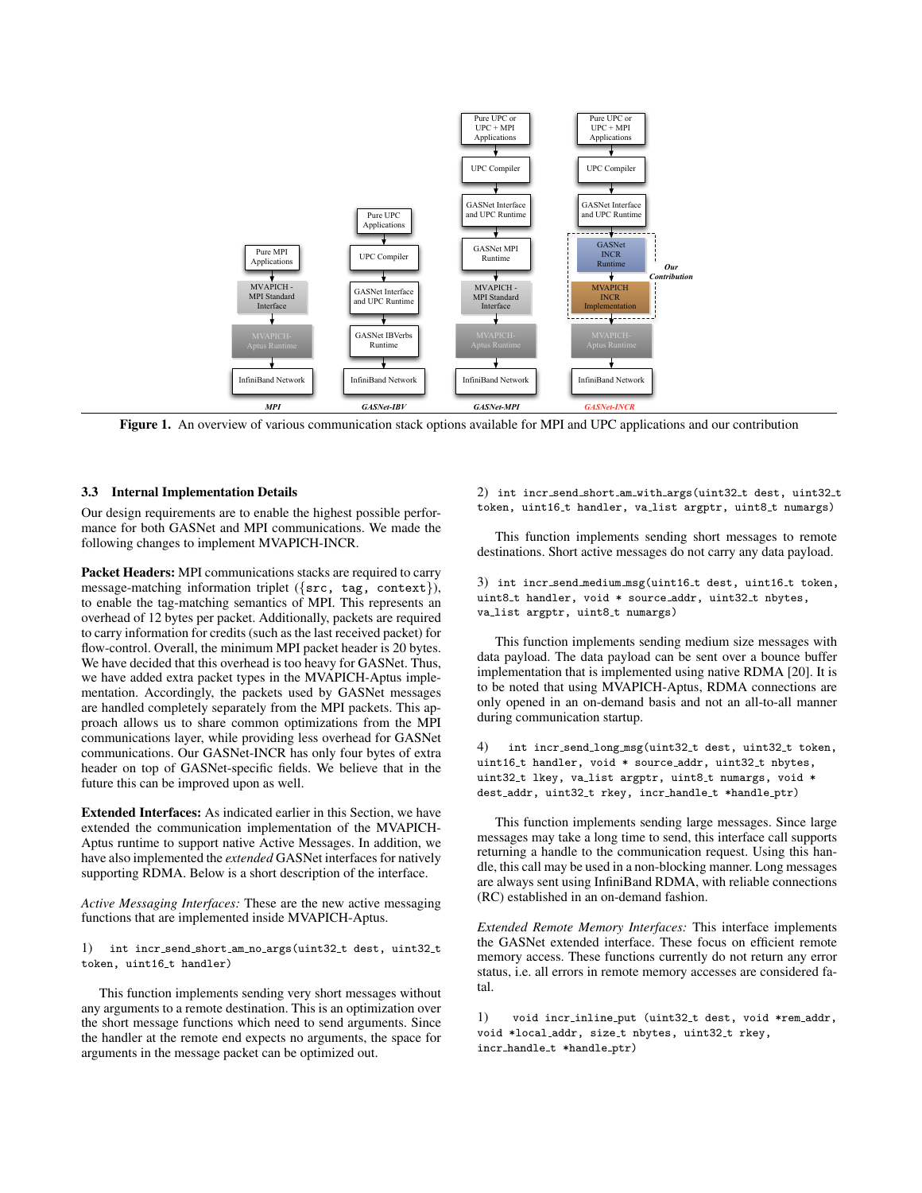

Figure 1. An overview of various communication stack options available for MPI and UPC applications and our contribution

#### 3.3 Internal Implementation Details

Our design requirements are to enable the highest possible performance for both GASNet and MPI communications. We made the following changes to implement MVAPICH-INCR.

Packet Headers: MPI communications stacks are required to carry message-matching information triplet ({src, tag, context}), to enable the tag-matching semantics of MPI. This represents an overhead of 12 bytes per packet. Additionally, packets are required to carry information for credits (such as the last received packet) for flow-control. Overall, the minimum MPI packet header is 20 bytes. We have decided that this overhead is too heavy for GASNet. Thus, we have added extra packet types in the MVAPICH-Aptus implementation. Accordingly, the packets used by GASNet messages are handled completely separately from the MPI packets. This approach allows us to share common optimizations from the MPI communications layer, while providing less overhead for GASNet communications. Our GASNet-INCR has only four bytes of extra header on top of GASNet-specific fields. We believe that in the future this can be improved upon as well.

Extended Interfaces: As indicated earlier in this Section, we have extended the communication implementation of the MVAPICH-Aptus runtime to support native Active Messages. In addition, we have also implemented the *extended* GASNet interfaces for natively supporting RDMA. Below is a short description of the interface.

*Active Messaging Interfaces:* These are the new active messaging functions that are implemented inside MVAPICH-Aptus.

1) int incr\_send\_short\_am\_no\_args(uint32\_t dest, uint32\_t token, uint16\_t handler)

This function implements sending very short messages without any arguments to a remote destination. This is an optimization over the short message functions which need to send arguments. Since the handler at the remote end expects no arguments, the space for arguments in the message packet can be optimized out.

2) int incr send short am with args(uint32 t dest, uint32 t token, uint16\_t handler, va\_list argptr, uint8\_t numargs)

This function implements sending short messages to remote destinations. Short active messages do not carry any data payload.

3) int incr\_send\_medium\_msg(uint16\_t dest, uint16\_t token, uint8<sub>-t</sub> handler, void \* source<sub>-addr</sub>, uint32<sub>-t nbytes,</sub> va\_list argptr, uint8\_t numargs)

This function implements sending medium size messages with data payload. The data payload can be sent over a bounce buffer implementation that is implemented using native RDMA [20]. It is to be noted that using MVAPICH-Aptus, RDMA connections are only opened in an on-demand basis and not an all-to-all manner during communication startup.

int incr\_send\_long\_msg(uint32\_t dest, uint32\_t token, uint16<sub>-t</sub> handler, void \* source<sub>-addr</sub>, uint32<sub>-t nbytes,</sub> uint32\_t lkey, va\_list argptr, uint8\_t numargs, void \* dest\_addr, uint32\_t rkey, incr\_handle\_t \*handle\_ptr)

This function implements sending large messages. Since large messages may take a long time to send, this interface call supports returning a handle to the communication request. Using this handle, this call may be used in a non-blocking manner. Long messages are always sent using InfiniBand RDMA, with reliable connections (RC) established in an on-demand fashion.

*Extended Remote Memory Interfaces:* This interface implements the GASNet extended interface. These focus on efficient remote memory access. These functions currently do not return any error status, i.e. all errors in remote memory accesses are considered fatal.

1) void incr inline put (uint32 t dest, void \*rem addr, void \*local addr, size t nbytes, uint32 t rkey, incr\_handle\_t \*handle\_ptr)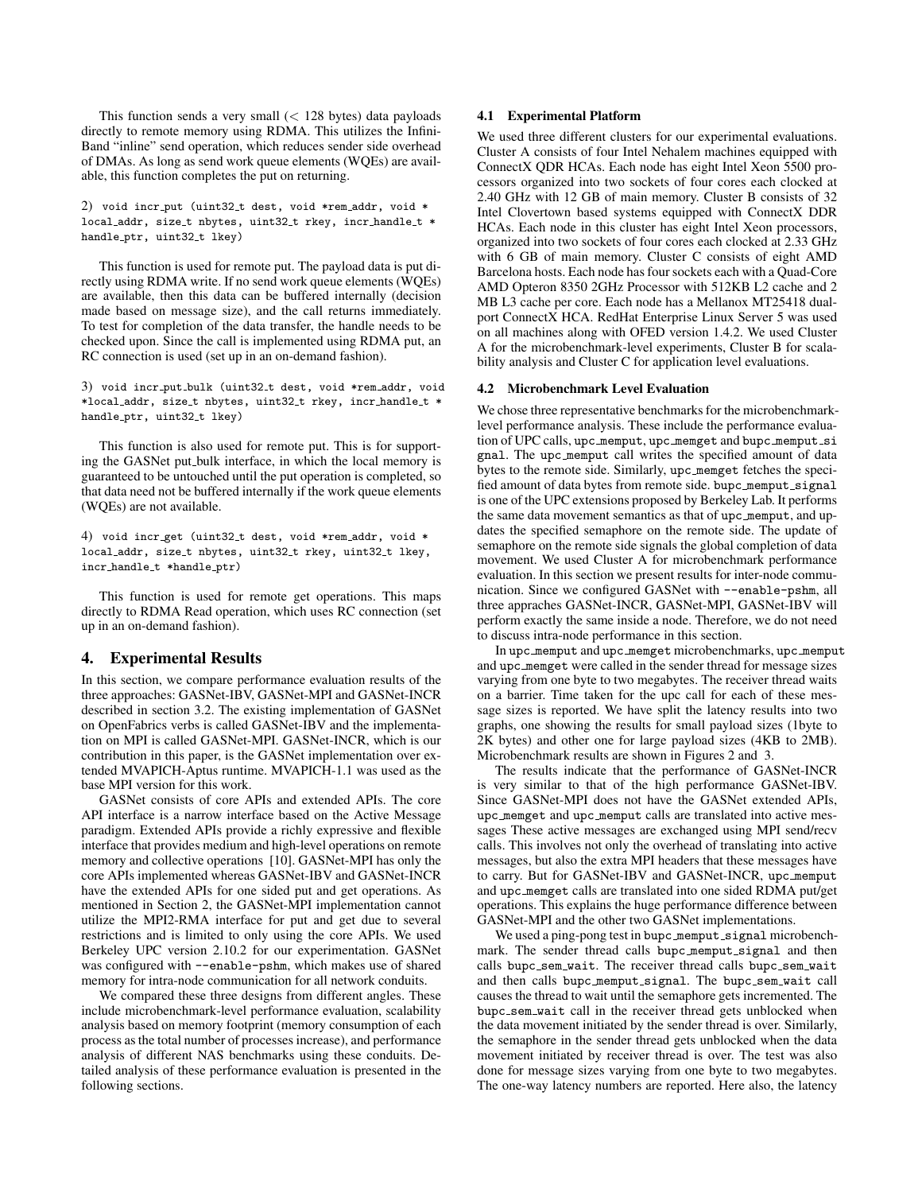This function sends a very small  $(< 128$  bytes) data payloads directly to remote memory using RDMA. This utilizes the Infini-Band "inline" send operation, which reduces sender side overhead of DMAs. As long as send work queue elements (WQEs) are available, this function completes the put on returning.

2) void incr put (uint32 t dest, void \*rem addr, void \* local\_addr, size\_t nbytes, uint32\_t rkey, incr\_handle\_t \* handle\_ptr, uint32\_t lkey)

This function is used for remote put. The payload data is put directly using RDMA write. If no send work queue elements (WQEs) are available, then this data can be buffered internally (decision made based on message size), and the call returns immediately. To test for completion of the data transfer, the handle needs to be checked upon. Since the call is implemented using RDMA put, an RC connection is used (set up in an on-demand fashion).

3) void incr put bulk (uint32 t dest, void \*rem addr, void \*local addr, size t nbytes, uint32 t rkey, incr handle t \* handle\_ptr, uint32\_t lkey)

This function is also used for remote put. This is for supporting the GASNet put bulk interface, in which the local memory is guaranteed to be untouched until the put operation is completed, so that data need not be buffered internally if the work queue elements (WQEs) are not available.

4) void incr\_get (uint32\_t dest, void \*rem\_addr, void \* local addr, size t nbytes, uint32 t rkey, uint32 t lkey, incr\_handle\_t \*handle\_ptr)

This function is used for remote get operations. This maps directly to RDMA Read operation, which uses RC connection (set up in an on-demand fashion).

## 4. Experimental Results

In this section, we compare performance evaluation results of the three approaches: GASNet-IBV, GASNet-MPI and GASNet-INCR described in section 3.2. The existing implementation of GASNet on OpenFabrics verbs is called GASNet-IBV and the implementation on MPI is called GASNet-MPI. GASNet-INCR, which is our contribution in this paper, is the GASNet implementation over extended MVAPICH-Aptus runtime. MVAPICH-1.1 was used as the base MPI version for this work.

GASNet consists of core APIs and extended APIs. The core API interface is a narrow interface based on the Active Message paradigm. Extended APIs provide a richly expressive and flexible interface that provides medium and high-level operations on remote memory and collective operations [10]. GASNet-MPI has only the core APIs implemented whereas GASNet-IBV and GASNet-INCR have the extended APIs for one sided put and get operations. As mentioned in Section 2, the GASNet-MPI implementation cannot utilize the MPI2-RMA interface for put and get due to several restrictions and is limited to only using the core APIs. We used Berkeley UPC version 2.10.2 for our experimentation. GASNet was configured with --enable-pshm, which makes use of shared memory for intra-node communication for all network conduits.

We compared these three designs from different angles. These include microbenchmark-level performance evaluation, scalability analysis based on memory footprint (memory consumption of each process as the total number of processes increase), and performance analysis of different NAS benchmarks using these conduits. Detailed analysis of these performance evaluation is presented in the following sections.

## 4.1 Experimental Platform

We used three different clusters for our experimental evaluations. Cluster A consists of four Intel Nehalem machines equipped with ConnectX QDR HCAs. Each node has eight Intel Xeon 5500 processors organized into two sockets of four cores each clocked at 2.40 GHz with 12 GB of main memory. Cluster B consists of 32 Intel Clovertown based systems equipped with ConnectX DDR HCAs. Each node in this cluster has eight Intel Xeon processors, organized into two sockets of four cores each clocked at 2.33 GHz with 6 GB of main memory. Cluster C consists of eight AMD Barcelona hosts. Each node has four sockets each with a Quad-Core AMD Opteron 8350 2GHz Processor with 512KB L2 cache and 2 MB L3 cache per core. Each node has a Mellanox MT25418 dualport ConnectX HCA. RedHat Enterprise Linux Server 5 was used on all machines along with OFED version 1.4.2. We used Cluster A for the microbenchmark-level experiments, Cluster B for scalability analysis and Cluster C for application level evaluations.

#### 4.2 Microbenchmark Level Evaluation

We chose three representative benchmarks for the microbenchmarklevel performance analysis. These include the performance evaluation of UPC calls, upc\_memput, upc\_memget and bupc\_memput\_si gnal. The upc memput call writes the specified amount of data bytes to the remote side. Similarly, upc memget fetches the specified amount of data bytes from remote side. bupc\_memput\_signal is one of the UPC extensions proposed by Berkeley Lab. It performs the same data movement semantics as that of upc memput, and updates the specified semaphore on the remote side. The update of semaphore on the remote side signals the global completion of data movement. We used Cluster A for microbenchmark performance evaluation. In this section we present results for inter-node communication. Since we configured GASNet with --enable-pshm, all three appraches GASNet-INCR, GASNet-MPI, GASNet-IBV will perform exactly the same inside a node. Therefore, we do not need to discuss intra-node performance in this section.

In upc memput and upc memget microbenchmarks, upc memput and upc memget were called in the sender thread for message sizes varying from one byte to two megabytes. The receiver thread waits on a barrier. Time taken for the upc call for each of these message sizes is reported. We have split the latency results into two graphs, one showing the results for small payload sizes (1byte to 2K bytes) and other one for large payload sizes (4KB to 2MB). Microbenchmark results are shown in Figures 2 and 3.

The results indicate that the performance of GASNet-INCR is very similar to that of the high performance GASNet-IBV. Since GASNet-MPI does not have the GASNet extended APIs, upc memget and upc memput calls are translated into active messages These active messages are exchanged using MPI send/recv calls. This involves not only the overhead of translating into active messages, but also the extra MPI headers that these messages have to carry. But for GASNet-IBV and GASNet-INCR, upc memput and upc memget calls are translated into one sided RDMA put/get operations. This explains the huge performance difference between GASNet-MPI and the other two GASNet implementations.

We used a ping-pong test in bupc\_memput\_signal microbenchmark. The sender thread calls bupc\_memput\_signal and then calls bupc\_sem\_wait. The receiver thread calls bupc\_sem\_wait and then calls bupc\_memput\_signal. The bupc\_sem\_wait call causes the thread to wait until the semaphore gets incremented. The bupc\_sem\_wait call in the receiver thread gets unblocked when the data movement initiated by the sender thread is over. Similarly, the semaphore in the sender thread gets unblocked when the data movement initiated by receiver thread is over. The test was also done for message sizes varying from one byte to two megabytes. The one-way latency numbers are reported. Here also, the latency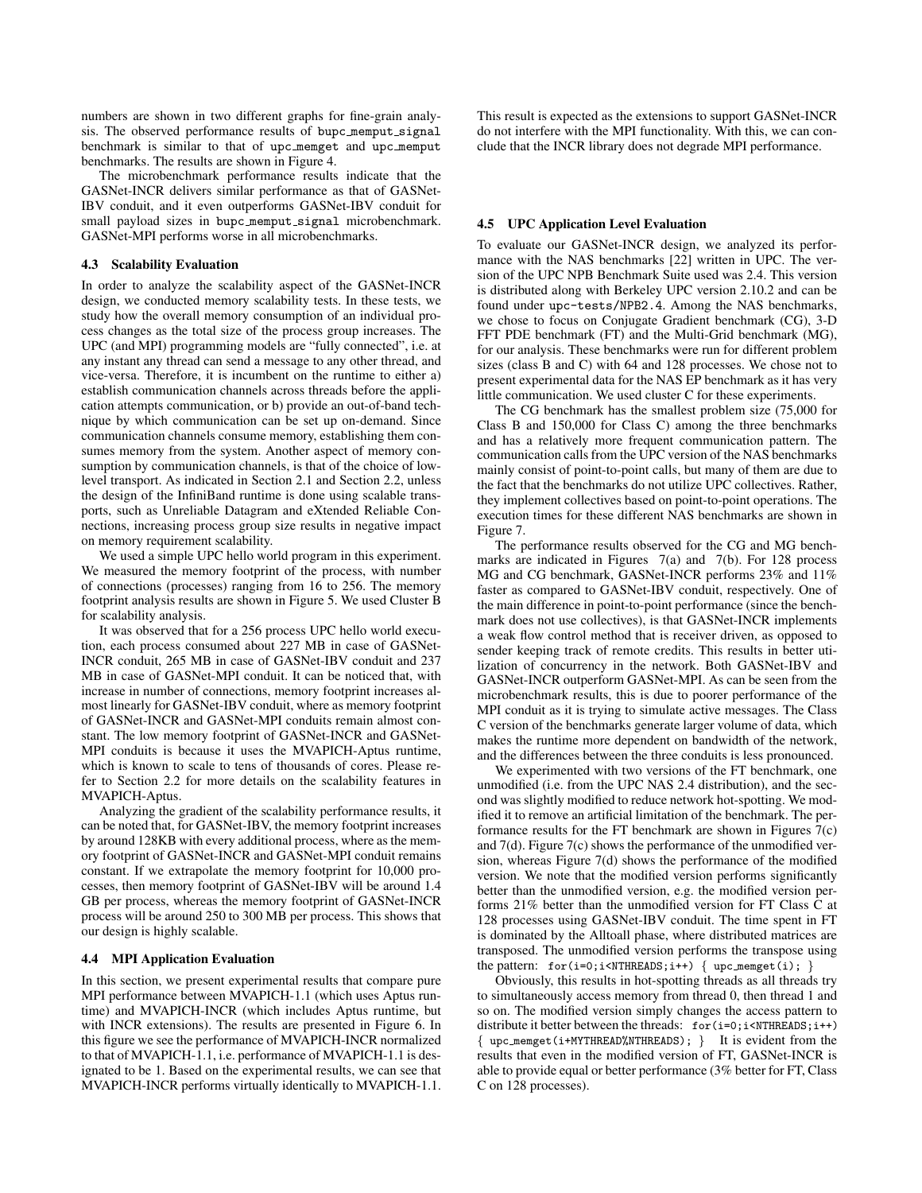numbers are shown in two different graphs for fine-grain analysis. The observed performance results of bupc\_memput\_signal benchmark is similar to that of upc memget and upc memput benchmarks. The results are shown in Figure 4.

The microbenchmark performance results indicate that the GASNet-INCR delivers similar performance as that of GASNet-IBV conduit, and it even outperforms GASNet-IBV conduit for small payload sizes in bupc\_memput\_signal microbenchmark. GASNet-MPI performs worse in all microbenchmarks.

#### 4.3 Scalability Evaluation

In order to analyze the scalability aspect of the GASNet-INCR design, we conducted memory scalability tests. In these tests, we study how the overall memory consumption of an individual process changes as the total size of the process group increases. The UPC (and MPI) programming models are "fully connected", i.e. at any instant any thread can send a message to any other thread, and vice-versa. Therefore, it is incumbent on the runtime to either a) establish communication channels across threads before the application attempts communication, or b) provide an out-of-band technique by which communication can be set up on-demand. Since communication channels consume memory, establishing them consumes memory from the system. Another aspect of memory consumption by communication channels, is that of the choice of lowlevel transport. As indicated in Section 2.1 and Section 2.2, unless the design of the InfiniBand runtime is done using scalable transports, such as Unreliable Datagram and eXtended Reliable Connections, increasing process group size results in negative impact on memory requirement scalability.

We used a simple UPC hello world program in this experiment. We measured the memory footprint of the process, with number of connections (processes) ranging from 16 to 256. The memory footprint analysis results are shown in Figure 5. We used Cluster B for scalability analysis.

It was observed that for a 256 process UPC hello world execution, each process consumed about 227 MB in case of GASNet-INCR conduit, 265 MB in case of GASNet-IBV conduit and 237 MB in case of GASNet-MPI conduit. It can be noticed that, with increase in number of connections, memory footprint increases almost linearly for GASNet-IBV conduit, where as memory footprint of GASNet-INCR and GASNet-MPI conduits remain almost constant. The low memory footprint of GASNet-INCR and GASNet-MPI conduits is because it uses the MVAPICH-Aptus runtime, which is known to scale to tens of thousands of cores. Please refer to Section 2.2 for more details on the scalability features in MVAPICH-Aptus.

Analyzing the gradient of the scalability performance results, it can be noted that, for GASNet-IBV, the memory footprint increases by around 128KB with every additional process, where as the memory footprint of GASNet-INCR and GASNet-MPI conduit remains constant. If we extrapolate the memory footprint for 10,000 processes, then memory footprint of GASNet-IBV will be around 1.4 GB per process, whereas the memory footprint of GASNet-INCR process will be around 250 to 300 MB per process. This shows that our design is highly scalable.

#### 4.4 MPI Application Evaluation

In this section, we present experimental results that compare pure MPI performance between MVAPICH-1.1 (which uses Aptus runtime) and MVAPICH-INCR (which includes Aptus runtime, but with INCR extensions). The results are presented in Figure 6. In this figure we see the performance of MVAPICH-INCR normalized to that of MVAPICH-1.1, i.e. performance of MVAPICH-1.1 is designated to be 1. Based on the experimental results, we can see that MVAPICH-INCR performs virtually identically to MVAPICH-1.1. This result is expected as the extensions to support GASNet-INCR do not interfere with the MPI functionality. With this, we can conclude that the INCR library does not degrade MPI performance.

#### 4.5 UPC Application Level Evaluation

To evaluate our GASNet-INCR design, we analyzed its performance with the NAS benchmarks [22] written in UPC. The version of the UPC NPB Benchmark Suite used was 2.4. This version is distributed along with Berkeley UPC version 2.10.2 and can be found under upc-tests/NPB2.4. Among the NAS benchmarks, we chose to focus on Conjugate Gradient benchmark (CG), 3-D FFT PDE benchmark (FT) and the Multi-Grid benchmark (MG), for our analysis. These benchmarks were run for different problem sizes (class B and C) with 64 and 128 processes. We chose not to present experimental data for the NAS EP benchmark as it has very little communication. We used cluster C for these experiments.

The CG benchmark has the smallest problem size (75,000 for Class B and 150,000 for Class C) among the three benchmarks and has a relatively more frequent communication pattern. The communication calls from the UPC version of the NAS benchmarks mainly consist of point-to-point calls, but many of them are due to the fact that the benchmarks do not utilize UPC collectives. Rather, they implement collectives based on point-to-point operations. The execution times for these different NAS benchmarks are shown in Figure 7.

The performance results observed for the CG and MG benchmarks are indicated in Figures 7(a) and 7(b). For 128 process MG and CG benchmark, GASNet-INCR performs 23% and 11% faster as compared to GASNet-IBV conduit, respectively. One of the main difference in point-to-point performance (since the benchmark does not use collectives), is that GASNet-INCR implements a weak flow control method that is receiver driven, as opposed to sender keeping track of remote credits. This results in better utilization of concurrency in the network. Both GASNet-IBV and GASNet-INCR outperform GASNet-MPI. As can be seen from the microbenchmark results, this is due to poorer performance of the MPI conduit as it is trying to simulate active messages. The Class C version of the benchmarks generate larger volume of data, which makes the runtime more dependent on bandwidth of the network, and the differences between the three conduits is less pronounced.

We experimented with two versions of the FT benchmark, one unmodified (i.e. from the UPC NAS 2.4 distribution), and the second was slightly modified to reduce network hot-spotting. We modified it to remove an artificial limitation of the benchmark. The performance results for the FT benchmark are shown in Figures 7(c) and 7(d). Figure 7(c) shows the performance of the unmodified version, whereas Figure 7(d) shows the performance of the modified version. We note that the modified version performs significantly better than the unmodified version, e.g. the modified version performs 21% better than the unmodified version for FT Class C at 128 processes using GASNet-IBV conduit. The time spent in FT is dominated by the Alltoall phase, where distributed matrices are transposed. The unmodified version performs the transpose using the pattern:  $for(i=0; i { upc_memget(i); }$ 

Obviously, this results in hot-spotting threads as all threads try to simultaneously access memory from thread 0, then thread 1 and so on. The modified version simply changes the access pattern to distribute it better between the threads: for (i=0; i<NTHREADS; i++) { upc memget(i+MYTHREAD%NTHREADS); } It is evident from the results that even in the modified version of FT, GASNet-INCR is able to provide equal or better performance (3% better for FT, Class C on 128 processes).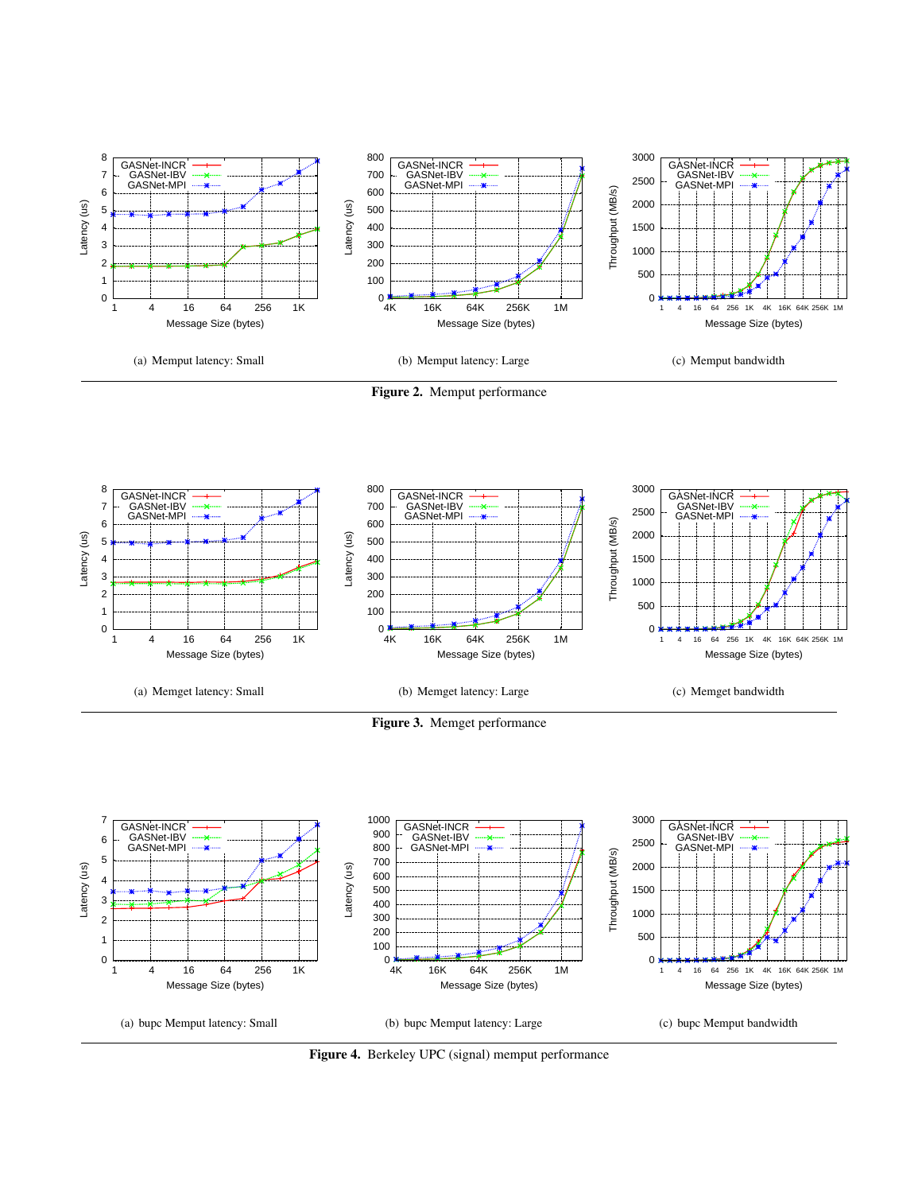

Figure 2. Memput performance



Figure 3. Memget performance



Figure 4. Berkeley UPC (signal) memput performance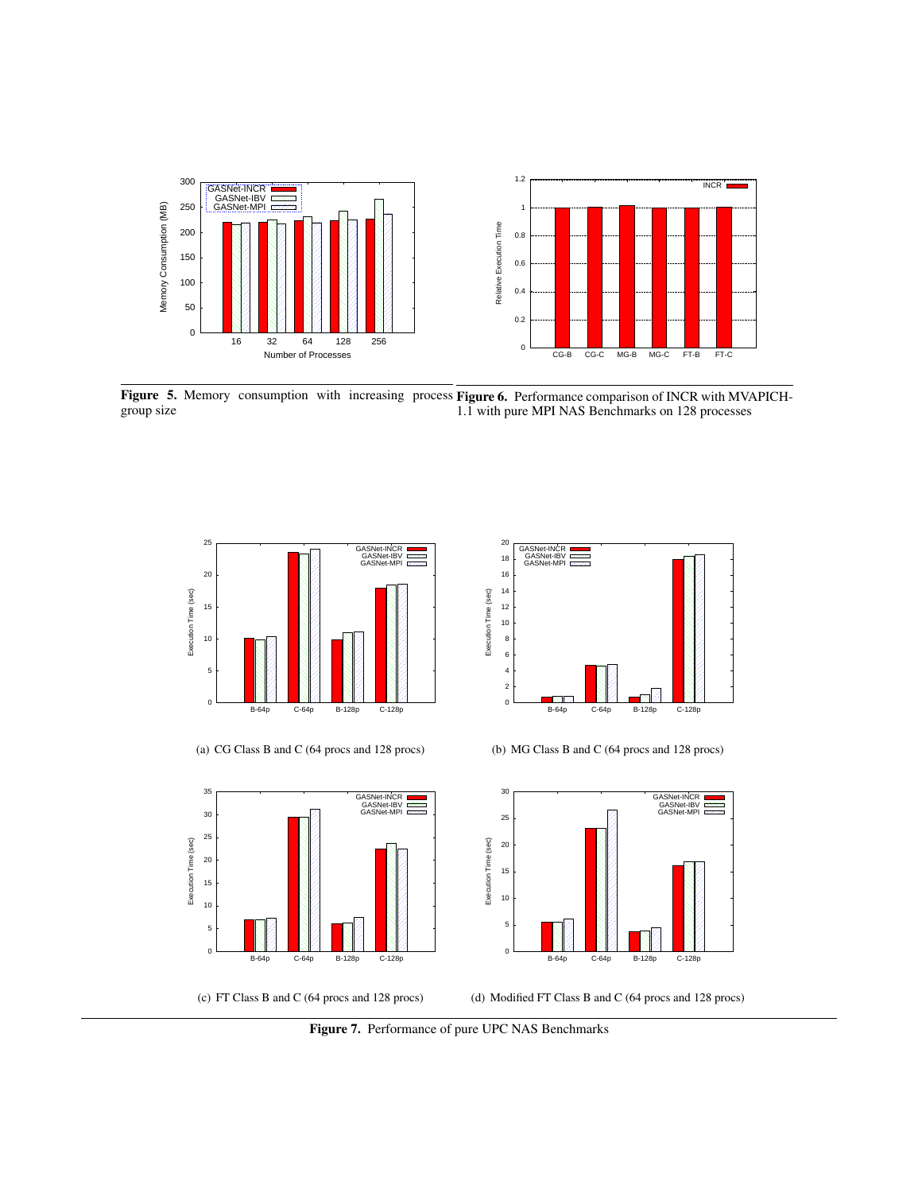

Figure 5. Memory consumption with increasing process Figure 6. Performance comparison of INCR with MVAPICHgroup size 1.1 with pure MPI NAS Benchmarks on 128 processes



(a) CG Class B and C (64 procs and 128 procs)

GASNet-INCR<br>GASNet-IBV<br>GASNet-MPI



(b) MG Class B and C (64 procs and 128 procs)



(c) FT Class B and C (64 procs and 128 procs)

B-64p C-64p B-128p C-128p

Execution Time (sec)

(d) Modified FT Class B and C (64 procs and 128 procs)

Figure 7. Performance of pure UPC NAS Benchmarks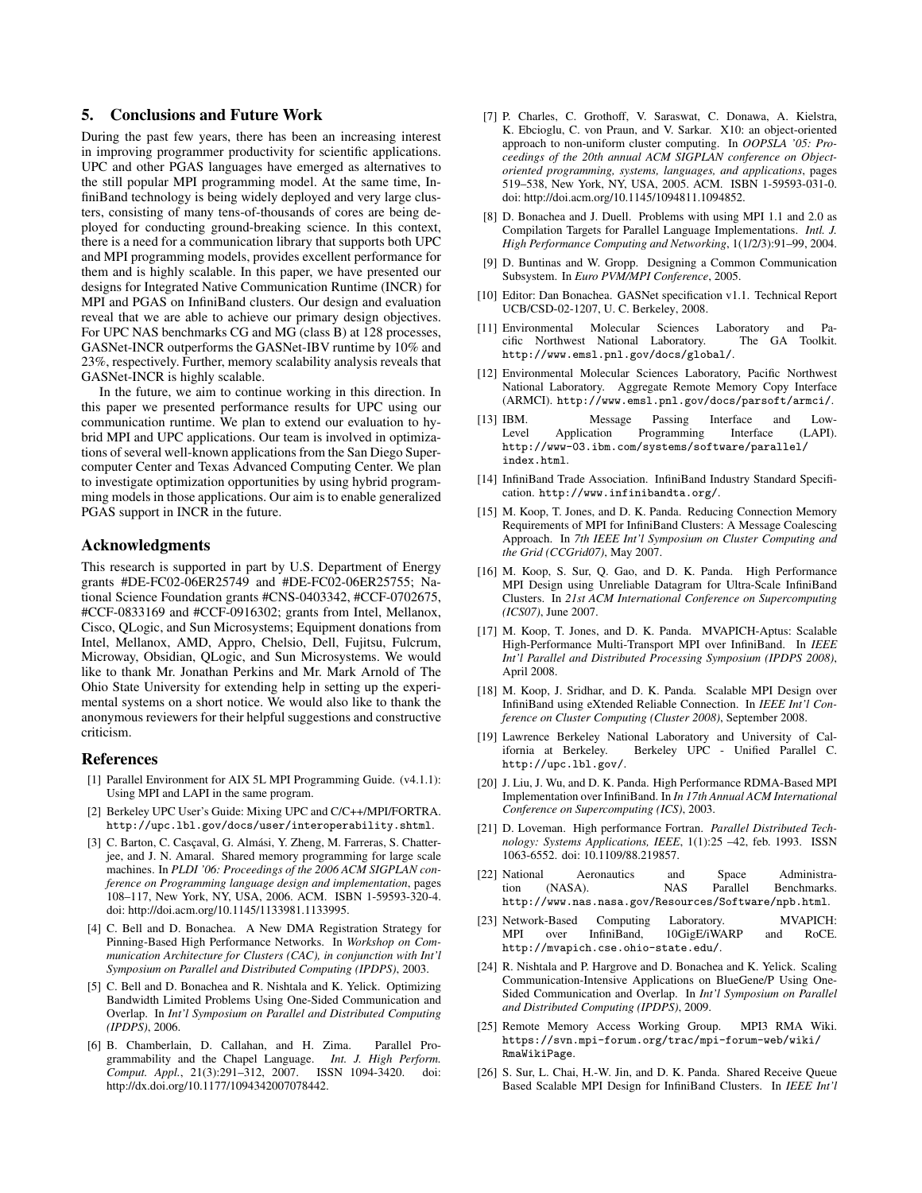# 5. Conclusions and Future Work

During the past few years, there has been an increasing interest in improving programmer productivity for scientific applications. UPC and other PGAS languages have emerged as alternatives to the still popular MPI programming model. At the same time, InfiniBand technology is being widely deployed and very large clusters, consisting of many tens-of-thousands of cores are being deployed for conducting ground-breaking science. In this context, there is a need for a communication library that supports both UPC and MPI programming models, provides excellent performance for them and is highly scalable. In this paper, we have presented our designs for Integrated Native Communication Runtime (INCR) for MPI and PGAS on InfiniBand clusters. Our design and evaluation reveal that we are able to achieve our primary design objectives. For UPC NAS benchmarks CG and MG (class B) at 128 processes, GASNet-INCR outperforms the GASNet-IBV runtime by 10% and 23%, respectively. Further, memory scalability analysis reveals that GASNet-INCR is highly scalable.

In the future, we aim to continue working in this direction. In this paper we presented performance results for UPC using our communication runtime. We plan to extend our evaluation to hybrid MPI and UPC applications. Our team is involved in optimizations of several well-known applications from the San Diego Supercomputer Center and Texas Advanced Computing Center. We plan to investigate optimization opportunities by using hybrid programming models in those applications. Our aim is to enable generalized PGAS support in INCR in the future.

## Acknowledgments

This research is supported in part by U.S. Department of Energy grants #DE-FC02-06ER25749 and #DE-FC02-06ER25755; National Science Foundation grants #CNS-0403342, #CCF-0702675, #CCF-0833169 and #CCF-0916302; grants from Intel, Mellanox, Cisco, QLogic, and Sun Microsystems; Equipment donations from Intel, Mellanox, AMD, Appro, Chelsio, Dell, Fujitsu, Fulcrum, Microway, Obsidian, QLogic, and Sun Microsystems. We would like to thank Mr. Jonathan Perkins and Mr. Mark Arnold of The Ohio State University for extending help in setting up the experimental systems on a short notice. We would also like to thank the anonymous reviewers for their helpful suggestions and constructive criticism.

## References

- [1] Parallel Environment for AIX 5L MPI Programming Guide. (v4.1.1): Using MPI and LAPI in the same program.
- [2] Berkeley UPC User's Guide: Mixing UPC and C/C++/MPI/FORTRA. http://upc.lbl.gov/docs/user/interoperability.shtml.
- [3] C. Barton, C. Casçaval, G. Almási, Y. Zheng, M. Farreras, S. Chatterjee, and J. N. Amaral. Shared memory programming for large scale machines. In *PLDI '06: Proceedings of the 2006 ACM SIGPLAN conference on Programming language design and implementation*, pages 108–117, New York, NY, USA, 2006. ACM. ISBN 1-59593-320-4. doi: http://doi.acm.org/10.1145/1133981.1133995.
- [4] C. Bell and D. Bonachea. A New DMA Registration Strategy for Pinning-Based High Performance Networks. In *Workshop on Communication Architecture for Clusters (CAC), in conjunction with Int'l Symposium on Parallel and Distributed Computing (IPDPS)*, 2003.
- [5] C. Bell and D. Bonachea and R. Nishtala and K. Yelick. Optimizing Bandwidth Limited Problems Using One-Sided Communication and Overlap. In *Int'l Symposium on Parallel and Distributed Computing (IPDPS)*, 2006.
- [6] B. Chamberlain, D. Callahan, and H. Zima. Parallel Programmability and the Chapel Language. *Int. J. High Perform. Comput. Appl.*, 21(3):291-312, 2007. ISSN 1094-3420. http://dx.doi.org/10.1177/1094342007078442.
- [7] P. Charles, C. Grothoff, V. Saraswat, C. Donawa, A. Kielstra, K. Ebcioglu, C. von Praun, and V. Sarkar. X10: an object-oriented approach to non-uniform cluster computing. In *OOPSLA '05: Proceedings of the 20th annual ACM SIGPLAN conference on Objectoriented programming, systems, languages, and applications*, pages 519–538, New York, NY, USA, 2005. ACM. ISBN 1-59593-031-0. doi: http://doi.acm.org/10.1145/1094811.1094852.
- [8] D. Bonachea and J. Duell. Problems with using MPI 1.1 and 2.0 as Compilation Targets for Parallel Language Implementations. *Intl. J. High Performance Computing and Networking*, 1(1/2/3):91–99, 2004.
- [9] D. Buntinas and W. Gropp. Designing a Common Communication Subsystem. In *Euro PVM/MPI Conference*, 2005.
- [10] Editor: Dan Bonachea. GASNet specification v1.1. Technical Report UCB/CSD-02-1207, U. C. Berkeley, 2008.
- [11] Environmental Molecular Sciences Laboratory and Pacific Northwest National Laboratory. http://www.emsl.pnl.gov/docs/global/.
- [12] Environmental Molecular Sciences Laboratory, Pacific Northwest National Laboratory. Aggregate Remote Memory Copy Interface (ARMCI). http://www.emsl.pnl.gov/docs/parsoft/armci/.
- [13] IBM. Message Passing Interface and Low-Level Application Programming Interface (LAPI). http://www-03.ibm.com/systems/software/parallel/ index.html.
- [14] InfiniBand Trade Association. InfiniBand Industry Standard Specification. http://www.infinibandta.org/.
- [15] M. Koop, T. Jones, and D. K. Panda. Reducing Connection Memory Requirements of MPI for InfiniBand Clusters: A Message Coalescing Approach. In *7th IEEE Int'l Symposium on Cluster Computing and the Grid (CCGrid07)*, May 2007.
- [16] M. Koop, S. Sur, Q. Gao, and D. K. Panda. High Performance MPI Design using Unreliable Datagram for Ultra-Scale InfiniBand Clusters. In *21st ACM International Conference on Supercomputing (ICS07)*, June 2007.
- [17] M. Koop, T. Jones, and D. K. Panda. MVAPICH-Aptus: Scalable High-Performance Multi-Transport MPI over InfiniBand. In *IEEE Int'l Parallel and Distributed Processing Symposium (IPDPS 2008)*, April 2008.
- [18] M. Koop, J. Sridhar, and D. K. Panda. Scalable MPI Design over InfiniBand using eXtended Reliable Connection. In *IEEE Int'l Conference on Cluster Computing (Cluster 2008)*, September 2008.
- [19] Lawrence Berkeley National Laboratory and University of California at Berkeley. Berkeley UPC - Unified Parallel C. http://upc.lbl.gov/.
- [20] J. Liu, J. Wu, and D. K. Panda. High Performance RDMA-Based MPI Implementation over InfiniBand. In *In 17th Annual ACM International Conference on Supercomputing (ICS)*, 2003.
- [21] D. Loveman. High performance Fortran. *Parallel Distributed Technology: Systems Applications, IEEE*, 1(1):25 –42, feb. 1993. ISSN 1063-6552. doi: 10.1109/88.219857.
- [22] National Aeronautics and Space Administration (NASA). NAS Parallel Benchmarks. http://www.nas.nasa.gov/Resources/Software/npb.html.
- [23] Network-Based Computing Laboratory. MVAPICH:<br>MPI over InfiniBand, 10GigE/iWARP and RoCE. over InfiniBand, 10GigE/iWARP and http://mvapich.cse.ohio-state.edu/.
- [24] R. Nishtala and P. Hargrove and D. Bonachea and K. Yelick. Scaling Communication-Intensive Applications on BlueGene/P Using One-Sided Communication and Overlap. In *Int'l Symposium on Parallel and Distributed Computing (IPDPS)*, 2009.
- [25] Remote Memory Access Working Group. MPI3 RMA Wiki. https://svn.mpi-forum.org/trac/mpi-forum-web/wiki/ RmaWikiPage.
- [26] S. Sur, L. Chai, H.-W. Jin, and D. K. Panda. Shared Receive Queue Based Scalable MPI Design for InfiniBand Clusters. In *IEEE Int'l*